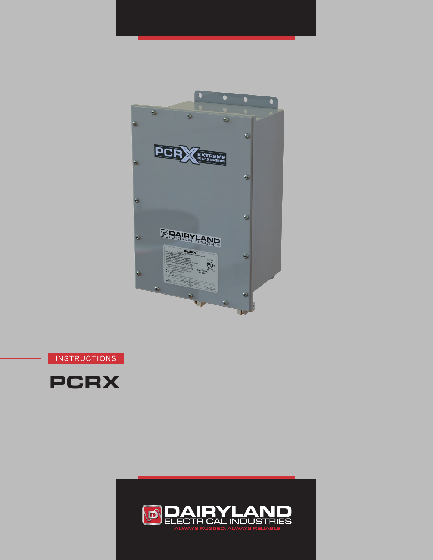



**INSTRUCTIONS** 



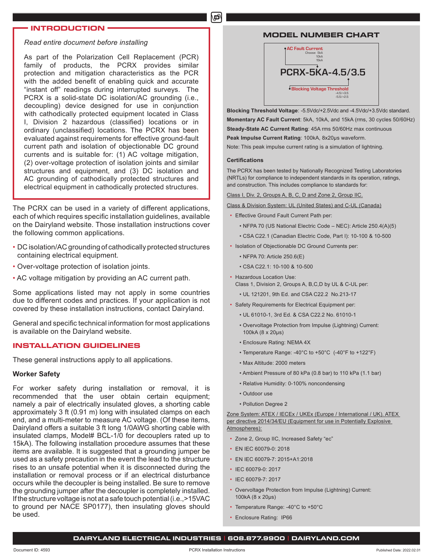#### **INTRODUCTION**

#### *Read entire document before installing*

As part of the Polarization Cell Replacement (PCR) family of products, the PCRX provides similar protection and mitigation characteristics as the PCR with the added benefit of enabling quick and accurate "instant off" readings during interrupted surveys. The PCRX is a solid-state DC isolation/AC grounding (i.e., decoupling) device designed for use in conjunction with cathodically protected equipment located in Class I, Division 2 hazardous (classified) locations or in ordinary (unclassified) locations. The PCRX has been evaluated against requirements for effective ground-fault current path and isolation of objectionable DC ground currents and is suitable for: (1) AC voltage mitigation, (2) over-voltage protection of isolation joints and similar structures and equipment, and (3) DC isolation and AC grounding of cathodically protected structures and electrical equipment in cathodically protected structures.

The PCRX can be used in a variety of different applications, each of which requires specific installation guidelines, available on the Dairyland website. Those installation instructions cover the following common applications.

- DC isolation/AC grounding of cathodically protected structures containing electrical equipment.
- Over-voltage protection of isolation joints.
- AC voltage mitigation by providing an AC current path.

Some applications listed may not apply in some countries due to different codes and practices. If your application is not covered by these installation instructions, contact Dairyland.

General and specific technical information for most applications is available on the Dairyland website.

#### **INSTALLATION GUIDELINES**

These general instructions apply to all applications.

#### **Worker Safety**

For worker safety during installation or removal, it is recommended that the user obtain certain equipment; namely a pair of electrically insulated gloves, a shorting cable approximately 3 ft (0.91 m) long with insulated clamps on each end, and a multi-meter to measure AC voltage. (Of these items, Dairyland offers a suitable 3 ft long 1/0AWG shorting cable with insulated clamps, Model# BCL-1/0 for decouplers rated up to 15kA). The following installation procedure assumes that these items are available. It is suggested that a grounding jumper be used as a safety precaution in the event the lead to the structure rises to an unsafe potential when it is disconnected during the installation or removal process or if an electrical disturbance occurs while the decoupler is being installed. Be sure to remove the grounding jumper after the decoupler is completely installed. If the structure voltage is not at a safe touch potential (i.e.,>15VAC to ground per NACE SP0177), then insulating gloves should be used.

#### **MODEL NUMBER CHART**



**Blocking Threshold Voltage**: -5.5Vdc/+2.5Vdc and -4.5Vdc/+3.5Vdc standard. **Momentary AC Fault Current**: 5kA, 10kA, and 15kA (rms, 30 cycles 50/60Hz) **Steady-State AC Current Rating**: 45A rms 50/60Hz max continuous

**Peak Impulse Current Rating**: 100kA, 8x20µs waveform.

Note: This peak impulse current rating is a simulation of lightning.

#### **Certifications**

மி

The PCRX has been tested by Nationally Recognized Testing Laboratories (NRTLs) for compliance to independent standards in its operation, ratings, and construction. This includes compliance to standards for:

Class I, Div. 2, Groups A, B, C, D and Zone 2, Group IIC.

Class & Division System: UL (United States) and C-UL (Canada)

- Effective Ground Fault Current Path per:
	- NFPA 70 (US National Electric Code NEC): Article 250.4(A)(5)
	- CSA C22.1 (Canadian Electric Code, Part I): 10-100 & 10-500
- Isolation of Objectionable DC Ground Currents per:
	- NFPA 70: Article 250.6(E)
	- CSA C22.1: 10-100 & 10-500
- Hazardous Location Use:
	- Class 1, Division 2, Groups A, B,C,D by UL & C-UL per:
	- UL 121201, 9th Ed. and CSA C22.2 No.213-17
- Safety Requirements for Electrical Equipment per:
	- UL 61010-1, 3rd Ed. & CSA C22.2 No. 61010-1
	- Overvoltage Protection from Impulse (Lightning) Current: 100kA (8 x 20µs)
	- Enclosure Rating: NEMA 4X
	- Temperature Range: -40°C to +50°C (-40°F to +122°F)
	- Max Altitude: 2000 meters
	- Ambient Pressure of 80 kPa (0.8 bar) to 110 kPa (1.1 bar)
	- Relative Humidity: 0-100% noncondensing
	- Outdoor use
	- Pollution Degree 2

Zone System: ATEX / IECEx / UKEx (Europe / International / UK). ATEX per directive 2014/34/EU (Equipment for use in Potentially Explosive Atmospheres):

- Zone 2, Group IIC, Increased Safety "ec"
- EN IEC 60079-0: 2018
- EN IEC 60079-7: 2015+A1:2018
- IEC 60079-0: 2017
- IEC 60079-7: 2017
- Overvoltage Protection from Impulse (Lightning) Current: 100kA (8 x 20µs)
- Temperature Range: -40°C to +50°C
- Enclosure Rating: IP66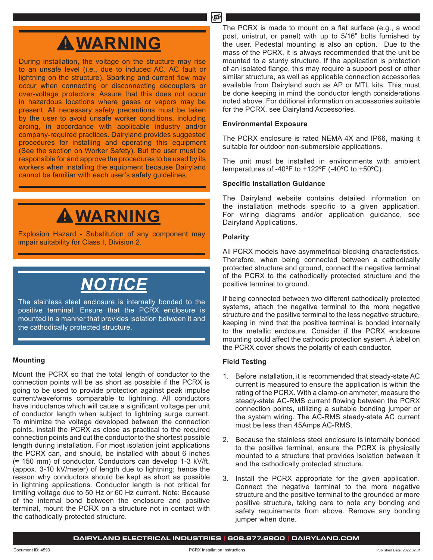## **WARNING**

During installation, the voltage on the structure may rise to an unsafe level (i.e., due to induced AC, AC fault or lightning on the structure). Sparking and current flow may occur when connecting or disconnecting decouplers or over-voltage protectors. Assure that this does not occur in hazardous locations where gases or vapors may be present. All necessary safety precautions must be taken by the user to avoid unsafe worker conditions, including arcing, in accordance with applicable industry and/or company-required practices. Dairyland provides suggested procedures for installing and operating this equipment (See the section on Worker Safety). But the user must be responsible for and approve the procedures to be used by its workers when installing the equipment because Dairyland cannot be familiar with each user's safety guidelines.

# **WARNING**

Explosion Hazard - Substitution of any component may impair suitability for Class I, Division 2.

# *NOTICE*

The stainless steel enclosure is internally bonded to the positive terminal. Ensure that the PCRX enclosure is mounted in a manner that provides isolation between it and the cathodically protected structure.

#### **Mounting**

Mount the PCRX so that the total length of conductor to the connection points will be as short as possible if the PCRX is going to be used to provide protection against peak impulse current/waveforms comparable to lightning. All conductors have inductance which will cause a significant voltage per unit of conductor length when subject to lightning surge current. To minimize the voltage developed between the connection points, install the PCRX as close as practical to the required connection points and cut the conductor to the shortest possible length during installation. For most isolation joint applications the PCRX can, and should, be installed with about 6 inches (≈ 150 mm) of conductor. Conductors can develop 1-3 kV/ft. (appox. 3-10 kV/meter) of length due to lightning; hence the reason why conductors should be kept as short as possible in lightning applications. Conductor length is not critical for limiting voltage due to 50 Hz or 60 Hz current. Note: Because of the internal bond between the enclosure and positive terminal, mount the PCRX on a structure not in contact with the cathodically protected structure.

The PCRX is made to mount on a flat surface (e.g., a wood post, unistrut, or panel) with up to 5/16" bolts furnished by the user. Pedestal mounting is also an option. Due to the mass of the PCRX, it is always recommended that the unit be mounted to a sturdy structure. If the application is protection of an isolated flange, this may require a support post or other similar structure, as well as applicable connection accessories available from Dairyland such as AP or MTL kits. This must be done keeping in mind the conductor length considerations noted above. For dditional information on accessories suitable for the PCRX, see Dairyland Accessories.

#### **Environmental Exposure**

The PCRX enclosure is rated NEMA 4X and IP66, making it suitable for outdoor non-submersible applications.

The unit must be installed in environments with ambient temperatures of -40 $\degree$ F to +122 $\degree$ F (-40 $\degree$ C to +50 $\degree$ C).

#### **Specific Installation Guidance**

The Dairyland website contains detailed information on the installation methods specific to a given application. For wiring diagrams and/or application guidance, see Dairyland Applications.

#### **Polarity**

All PCRX models have asymmetrical blocking characteristics. Therefore, when being connected between a cathodically protected structure and ground, connect the negative terminal of the PCRX to the cathodically protected structure and the positive terminal to ground.

If being connected between two different cathodically protected systems, attach the negative terminal to the more negative structure and the positive terminal to the less negative structure, keeping in mind that the positive terminal is bonded internally to the metallic enclosure. Consider if the PCRX enclosure mounting could affect the cathodic protection system. A label on the PCRX cover shows the polarity of each conductor.

#### **Field Testing**

- 1. Before installation, it is recommended that steady-state AC current is measured to ensure the application is within the rating of the PCRX. With a clamp-on ammeter, measure the steady-state AC-RMS current flowing between the PCRX connection points, utilizing a suitable bonding jumper or the system wiring. The AC-RMS steady-state AC current must be less than 45Amps AC-RMS.
- 2. Because the stainless steel enclosure is internally bonded to the positive terminal, ensure the PCRX is physically mounted to a structure that provides isolation between it and the cathodically protected structure.
- 3. Install the PCRX appropriate for the given application. Connect the negative terminal to the more negative structure and the positive terminal to the grounded or more positive structure, taking care to note any bonding and safety requirements from above. Remove any bonding jumper when done.

**DAIRYLAND ELECTRICAL INDUSTRIES | 608.877.9900 | DAIRYLAND.COM**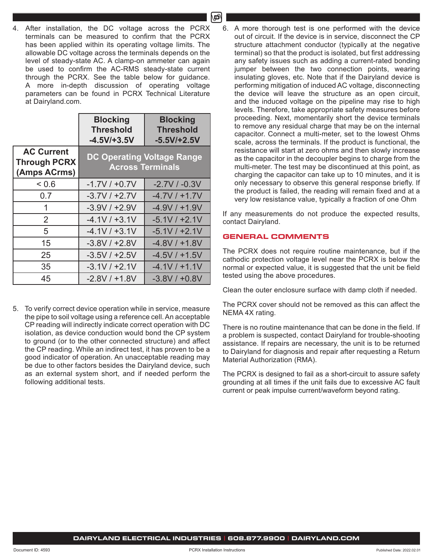4. After installation, the DC voltage across the PCRX terminals can be measured to confirm that the PCRX has been applied within its operating voltage limits. The allowable DC voltage across the terminals depends on the level of steady-state AC. A clamp-on ammeter can again be used to confirm the AC-RMS steady-state current through the PCRX. See the table below for guidance. A more in-depth discussion of operating voltage parameters can be found in PCRX Technical Literature at Dairyland.com.

|                                                          | <b>Blocking</b><br><b>Threshold</b><br>$-4.5V/+3.5V$         | <b>Blocking</b><br><b>Threshold</b><br>$-5.5V/+2.5V$ |  |  |  |
|----------------------------------------------------------|--------------------------------------------------------------|------------------------------------------------------|--|--|--|
| <b>AC Current</b><br><b>Through PCRX</b><br>(Amps ACrms) | <b>DC Operating Voltage Range</b><br><b>Across Terminals</b> |                                                      |  |  |  |
| < 0.6                                                    | $-1.7V / +0.7V$                                              | $-2.7V / -0.3V$                                      |  |  |  |
| 0.7                                                      | $-3.7V/ +2.7V$                                               | $-4.7V/ +1.7V$                                       |  |  |  |
| 1                                                        | $-3.9V/ +2.9V$                                               | $-4.9V/ +1.9V$                                       |  |  |  |
| 2                                                        | $-4.1V / +3.1V$                                              | $-5.1V / +2.1V$                                      |  |  |  |
| 5                                                        | $-4.1V / +3.1V$                                              | $-5.1V / +2.1V$                                      |  |  |  |
| 15                                                       | $-3.8V / +2.8V$                                              | $-4.8V/ +1.8V$                                       |  |  |  |
| 25                                                       | $-3.5V/ +2.5V$                                               | $-4.5V/ +1.5V$                                       |  |  |  |
| 35                                                       | $-3.1V / +2.1V$                                              | $-4.1V / +1.1V$                                      |  |  |  |
| 45                                                       | $-2.8V/+1.8V$                                                | $-3.8V / +0.8V$                                      |  |  |  |

5. To verify correct device operation while in service, measure the pipe to soil voltage using a reference cell. An acceptable CP reading will indirectly indicate correct operation with DC isolation, as device conduction would bond the CP system to ground (or to the other connected structure) and affect the CP reading. While an indirect test, it has proven to be a good indicator of operation. An unacceptable reading may be due to other factors besides the Dairyland device, such as an external system short, and if needed perform the following additional tests.

6. A more thorough test is one performed with the device out of circuit. If the device is in service, disconnect the CP structure attachment conductor (typically at the negative terminal) so that the product is isolated, but first addressing any safety issues such as adding a current-rated bonding jumper between the two connection points, wearing insulating gloves, etc. Note that if the Dairyland device is performing mitigation of induced AC voltage, disconnecting the device will leave the structure as an open circuit, and the induced voltage on the pipeline may rise to high levels. Therefore, take appropriate safety measures before proceeding. Next, momentarily short the device terminals to remove any residual charge that may be on the internal capacitor. Connect a multi-meter, set to the lowest Ohms scale, across the terminals. If the product is functional, the resistance will start at zero ohms and then slowly increase as the capacitor in the decoupler begins to charge from the multi-meter. The test may be discontinued at this point, as charging the capacitor can take up to 10 minutes, and it is only necessary to observe this general response briefly. If the product is failed, the reading will remain fixed and at a very low resistance value, typically a fraction of one Ohm

If any measurements do not produce the expected results, contact Dairyland.

#### **GENERAL COMMENTS**

The PCRX does not require routine maintenance, but if the cathodic protection voltage level near the PCRX is below the normal or expected value, it is suggested that the unit be field tested using the above procedures.

Clean the outer enclosure surface with damp cloth if needed.

The PCRX cover should not be removed as this can affect the NEMA 4X rating.

There is no routine maintenance that can be done in the field. If a problem is suspected, contact Dairyland for trouble-shooting assistance. If repairs are necessary, the unit is to be returned to Dairyland for diagnosis and repair after requesting a Return Material Authorization (RMA).

The PCRX is designed to fail as a short-circuit to assure safety grounding at all times if the unit fails due to excessive AC fault current or peak impulse current/waveform beyond rating.

**DAIRYLAND ELECTRICAL INDUSTRIES | 608.877.9900 | DAIRYLAND.COM**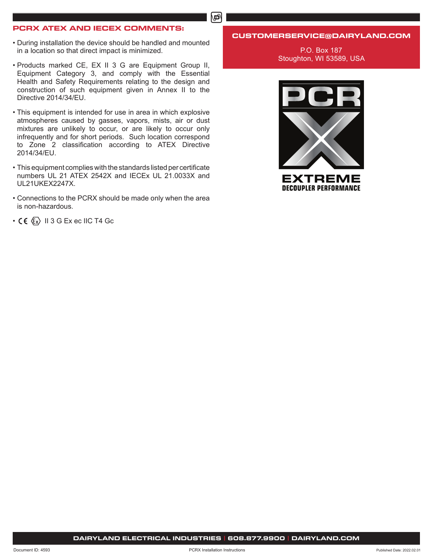#### **PCRX ATEX AND IECEX COMMENTS:**

- During installation the device should be handled and mounted in a location so that direct impact is minimized.
- Products marked CE, EX II 3 G are Equipment Group II, Equipment Category 3, and comply with the Essential Health and Safety Requirements relating to the design and construction of such equipment given in Annex II to the Directive 2014/34/EU.
- This equipment is intended for use in area in which explosive atmospheres caused by gasses, vapors, mists, air or dust mixtures are unlikely to occur, or are likely to occur only infrequently and for short periods. Such location correspond to Zone 2 classification according to ATEX Directive 2014/34/EU.
- This equipment complies with the standards listed per certificate numbers UL 21 ATEX 2542X and IECEx UL 21.0033X and UL21UKEX2247X.
- Connections to the PCRX should be made only when the area is non-hazardous.
- $\cdot$  CE  $\langle \xi_x \rangle$  II 3 G Ex ec IIC T4 Gc

#### **CUSTOMERSERVICE@DAIRYLAND.COM**

P.O. Box 187 Stoughton, WI 53589, USA



**DAIRYLAND ELECTRICAL INDUSTRIES | 608.877.9900 | DAIRYLAND.COM**

#### ௴